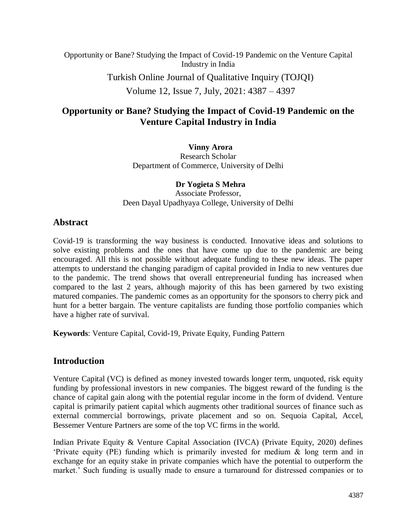Opportunity or Bane? Studying the Impact of Covid-19 Pandemic on the Venture Capital Industry in India

Turkish Online Journal of Qualitative Inquiry (TOJQI)

Volume 12, Issue 7, July, 2021: 4387 – 4397

## **Opportunity or Bane? Studying the Impact of Covid-19 Pandemic on the Venture Capital Industry in India**

**Vinny Arora** Research Scholar Department of Commerce, University of Delhi

**Dr Yogieta S Mehra** Associate Professor, Deen Dayal Upadhyaya College, University of Delhi

## **Abstract**

Covid-19 is transforming the way business is conducted. Innovative ideas and solutions to solve existing problems and the ones that have come up due to the pandemic are being encouraged. All this is not possible without adequate funding to these new ideas. The paper attempts to understand the changing paradigm of capital provided in India to new ventures due to the pandemic. The trend shows that overall entrepreneurial funding has increased when compared to the last 2 years, although majority of this has been garnered by two existing matured companies. The pandemic comes as an opportunity for the sponsors to cherry pick and hunt for a better bargain. The venture capitalists are funding those portfolio companies which have a higher rate of survival.

**Keywords**: Venture Capital, Covid-19, Private Equity, Funding Pattern

## **Introduction**

Venture Capital (VC) is defined as money invested towards longer term, unquoted, risk equity funding by professional investors in new companies. The biggest reward of the funding is the chance of capital gain along with the potential regular income in the form of dvidend. Venture capital is primarily patient capital which augments other traditional sources of finance such as external commercial borrowings, private placement and so on. Sequoia Capital, Accel, Bessemer Venture Partners are some of the top VC firms in the world.

Indian Private Equity & Venture Capital Association (IVCA) (Private Equity, 2020) defines 'Private equity (PE) funding which is primarily invested for medium & long term and in exchange for an equity stake in private companies which have the potential to outperform the market.' Such funding is usually made to ensure a turnaround for distressed companies or to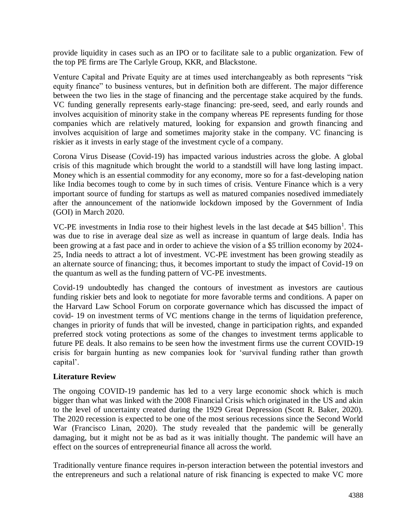provide liquidity in cases such as an IPO or to facilitate sale to a public organization. Few of the top PE firms are The Carlyle Group, KKR, and Blackstone.

Venture Capital and Private Equity are at times used interchangeably as both represents "risk equity finance" to business ventures, but in definition both are different. The major difference between the two lies in the stage of financing and the percentage stake acquired by the funds. VC funding generally represents early-stage financing: pre-seed, seed, and early rounds and involves acquisition of minority stake in the company whereas PE represents funding for those companies which are relatively matured, looking for expansion and growth financing and involves acquisition of large and sometimes majority stake in the company. VC financing is riskier as it invests in early stage of the investment cycle of a company.

Corona Virus Disease (Covid-19) has impacted various industries across the globe. A global crisis of this magnitude which brought the world to a standstill will have long lasting impact. Money which is an essential commodity for any economy, more so for a fast-developing nation like India becomes tough to come by in such times of crisis. Venture Finance which is a very important source of funding for startups as well as matured companies nosedived immediately after the announcement of the nationwide lockdown imposed by the Government of India (GOI) in March 2020.

VC-PE investments in India rose to their highest levels in the last decade at \$45 billion<sup>1</sup>. This was due to rise in average deal size as well as increase in quantum of large deals. India has been growing at a fast pace and in order to achieve the vision of a \$5 trillion economy by 2024- 25, India needs to attract a lot of investment. VC-PE investment has been growing steadily as an alternate source of financing; thus, it becomes important to study the impact of Covid-19 on the quantum as well as the funding pattern of VC-PE investments.

Covid-19 undoubtedly has changed the contours of investment as investors are cautious funding riskier bets and look to negotiate for more favorable terms and conditions. A paper on the Harvard Law School Forum on corporate governance which has discussed the impact of covid- 19 on investment terms of VC mentions change in the terms of liquidation preference, changes in priority of funds that will be invested, change in participation rights, and expanded preferred stock voting protections as some of the changes to investment terms applicable to future PE deals. It also remains to be seen how the investment firms use the current COVID-19 crisis for bargain hunting as new companies look for 'survival funding rather than growth capital'.

#### **Literature Review**

The ongoing COVID-19 pandemic has led to a very large economic shock which is much bigger than what was linked with the 2008 Financial Crisis which originated in the US and akin to the level of uncertainty created during the 1929 Great Depression (Scott R. Baker, 2020). The 2020 recession is expected to be one of the most serious recessions since the Second World War (Francisco Linan, 2020). The study revealed that the pandemic will be generally damaging, but it might not be as bad as it was initially thought. The pandemic will have an effect on the sources of entrepreneurial finance all across the world.

Traditionally venture finance requires in-person interaction between the potential investors and the entrepreneurs and such a relational nature of risk financing is expected to make VC more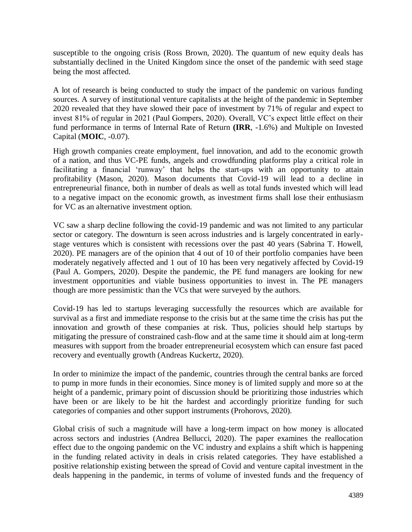susceptible to the ongoing crisis (Ross Brown, 2020). The quantum of new equity deals has substantially declined in the United Kingdom since the onset of the pandemic with seed stage being the most affected.

A lot of research is being conducted to study the impact of the pandemic on various funding sources. A survey of institutional venture capitalists at the height of the pandemic in September 2020 revealed that they have slowed their pace of investment by 71% of regular and expect to invest 81% of regular in 2021 (Paul Gompers, 2020). Overall, VC's expect little effect on their fund performance in terms of Internal Rate of Return **(IRR**, -1.6%) and Multiple on Invested Capital (**MOIC**, -0.07).

High growth companies create employment, fuel innovation, and add to the economic growth of a nation, and thus VC-PE funds, angels and crowdfunding platforms play a critical role in facilitating a financial 'runway' that helps the start-ups with an opportunity to attain profitability (Mason, 2020). Mason documents that Covid-19 will lead to a decline in entrepreneurial finance, both in number of deals as well as total funds invested which will lead to a negative impact on the economic growth, as investment firms shall lose their enthusiasm for VC as an alternative investment option.

VC saw a sharp decline following the covid-19 pandemic and was not limited to any particular sector or category. The downturn is seen across industries and is largely concentrated in earlystage ventures which is consistent with recessions over the past 40 years (Sabrina T. Howell, 2020). PE managers are of the opinion that 4 out of 10 of their portfolio companies have been moderately negatively affected and 1 out of 10 has been very negatively affected by Covid-19 (Paul A. Gompers, 2020). Despite the pandemic, the PE fund managers are looking for new investment opportunities and viable business opportunities to invest in. The PE managers though are more pessimistic than the VCs that were surveyed by the authors.

Covid-19 has led to startups leveraging successfully the resources which are available for survival as a first and immediate response to the crisis but at the same time the crisis has put the innovation and growth of these companies at risk. Thus, policies should help startups by mitigating the pressure of constrained cash-flow and at the same time it should aim at long-term measures with support from the broader entrepreneurial ecosystem which can ensure fast paced recovery and eventually growth (Andreas Kuckertz, 2020).

In order to minimize the impact of the pandemic, countries through the central banks are forced to pump in more funds in their economies. Since money is of limited supply and more so at the height of a pandemic, primary point of discussion should be prioritizing those industries which have been or are likely to be hit the hardest and accordingly prioritize funding for such categories of companies and other support instruments (Prohorovs, 2020).

Global crisis of such a magnitude will have a long-term impact on how money is allocated across sectors and industries (Andrea Bellucci, 2020). The paper examines the reallocation effect due to the ongoing pandemic on the VC industry and explains a shift which is happening in the funding related activity in deals in crisis related categories. They have established a positive relationship existing between the spread of Covid and venture capital investment in the deals happening in the pandemic, in terms of volume of invested funds and the frequency of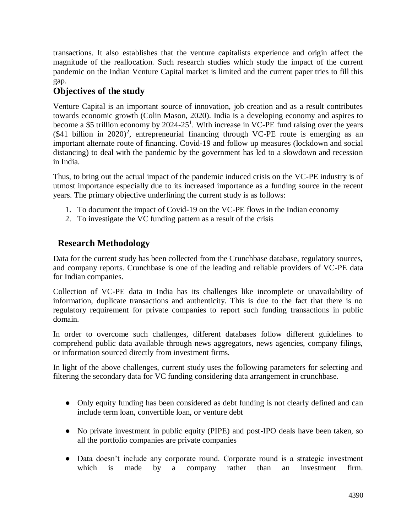transactions. It also establishes that the venture capitalists experience and origin affect the magnitude of the reallocation. Such research studies which study the impact of the current pandemic on the Indian Venture Capital market is limited and the current paper tries to fill this gap.

# **Objectives of the study**

Venture Capital is an important source of innovation, job creation and as a result contributes towards economic growth (Colin Mason, 2020). India is a developing economy and aspires to become a \$5 trillion economy by  $2024-25<sup>1</sup>$ . With increase in VC-PE fund raising over the years  $($41$  billion in  $2020)^2$ , entrepreneurial financing through VC-PE route is emerging as an important alternate route of financing. Covid-19 and follow up measures (lockdown and social distancing) to deal with the pandemic by the government has led to a slowdown and recession in India.

Thus, to bring out the actual impact of the pandemic induced crisis on the VC-PE industry is of utmost importance especially due to its increased importance as a funding source in the recent years. The primary objective underlining the current study is as follows:

- 1. To document the impact of Covid-19 on the VC-PE flows in the Indian economy
- 2. To investigate the VC funding pattern as a result of the crisis

# **Research Methodology**

Data for the current study has been collected from the Crunchbase database, regulatory sources, and company reports. Crunchbase is one of the leading and reliable providers of VC-PE data for Indian companies.

Collection of VC-PE data in India has its challenges like incomplete or unavailability of information, duplicate transactions and authenticity. This is due to the fact that there is no regulatory requirement for private companies to report such funding transactions in public domain.

In order to overcome such challenges, different databases follow different guidelines to comprehend public data available through news aggregators, news agencies, company filings, or information sourced directly from investment firms.

In light of the above challenges, current study uses the following parameters for selecting and filtering the secondary data for VC funding considering data arrangement in crunchbase.

- Only equity funding has been considered as debt funding is not clearly defined and can include term loan, convertible loan, or venture debt
- No private investment in public equity (PIPE) and post-IPO deals have been taken, so all the portfolio companies are private companies
- Data doesn't include any corporate round. Corporate round is a strategic investment which is made by a company rather than an investment firm.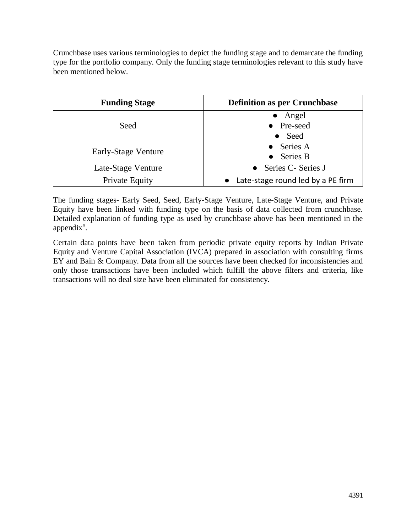Crunchbase uses various terminologies to depict the funding stage and to demarcate the funding type for the portfolio company. Only the funding stage terminologies relevant to this study have been mentioned below.

| <b>Funding Stage</b>  | <b>Definition as per Crunchbase</b> |  |  |
|-----------------------|-------------------------------------|--|--|
|                       | $\bullet$ Angel                     |  |  |
| Seed                  | • Pre-seed                          |  |  |
|                       | Seed<br>$\bullet$                   |  |  |
|                       | $\bullet$ Series A                  |  |  |
| Early-Stage Venture   | $\bullet$ Series B                  |  |  |
| Late-Stage Venture    | • Series C- Series J                |  |  |
| <b>Private Equity</b> | Late-stage round led by a PE firm   |  |  |

The funding stages- Early Seed, Seed, Early-Stage Venture, Late-Stage Venture, and Private Equity have been linked with funding type on the basis of data collected from crunchbase. Detailed explanation of funding type as used by crunchbase above has been mentioned in the appendix<sup>#</sup>.

Certain data points have been taken from periodic private equity reports by Indian Private Equity and Venture Capital Association (IVCA) prepared in association with consulting firms EY and Bain & Company. Data from all the sources have been checked for inconsistencies and only those transactions have been included which fulfill the above filters and criteria, like transactions will no deal size have been eliminated for consistency.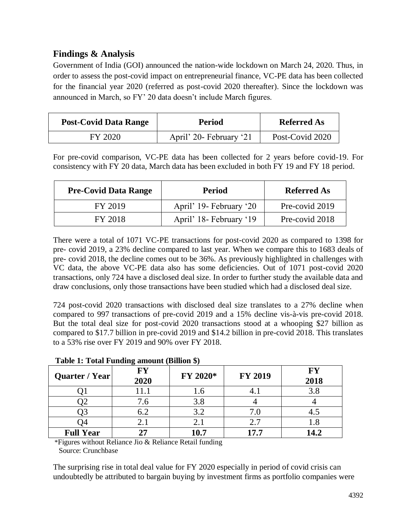## **Findings & Analysis**

Government of India (GOI) announced the nation-wide lockdown on March 24, 2020. Thus, in order to assess the post-covid impact on entrepreneurial finance, VC-PE data has been collected for the financial year 2020 (referred as post-covid 2020 thereafter). Since the lockdown was announced in March, so FY' 20 data doesn't include March figures.

| <b>Post-Covid Data Range</b> | <b>Period</b>           | <b>Referred As</b> |
|------------------------------|-------------------------|--------------------|
| FY 2020                      | April' 20- February '21 | Post-Covid 2020    |

For pre-covid comparison, VC-PE data has been collected for 2 years before covid-19. For consistency with FY 20 data, March data has been excluded in both FY 19 and FY 18 period.

| <b>Pre-Covid Data Range</b> | <b>Period</b>           | <b>Referred As</b> |
|-----------------------------|-------------------------|--------------------|
| FY 2019                     | April' 19- February '20 | Pre-covid 2019     |
| FY 2018                     | April' 18- February '19 | Pre-covid 2018     |

There were a total of 1071 VC-PE transactions for post-covid 2020 as compared to 1398 for pre- covid 2019, a 23% decline compared to last year. When we compare this to 1683 deals of pre- covid 2018, the decline comes out to be 36%. As previously highlighted in challenges with VC data, the above VC-PE data also has some deficiencies. Out of 1071 post-covid 2020 transactions, only 724 have a disclosed deal size. In order to further study the available data and draw conclusions, only those transactions have been studied which had a disclosed deal size.

724 post-covid 2020 transactions with disclosed deal size translates to a 27% decline when compared to 997 transactions of pre-covid 2019 and a 15% decline vis-à-vis pre-covid 2018. But the total deal size for post-covid 2020 transactions stood at a whooping \$27 billion as compared to \$17.7 billion in pre-covid 2019 and \$14.2 billion in pre-covid 2018. This translates to a 53% rise over FY 2019 and 90% over FY 2018.

| Quarter / Year   | FY<br>2020 | FY 2020* | <b>FY 2019</b> | <b>FY</b><br>2018 |
|------------------|------------|----------|----------------|-------------------|
|                  | 11.1       | 1.6      |                | 3.8               |
| $\mathcal{Q}$    | 7.6        | 3.8      |                |                   |
|                  | 6.2        | 3.2      | 7.0            |                   |
| )4               | 2.1        | 2.1      | 2.7            | 1.8               |
| <b>Full Year</b> | 27         | 10.7     | 17.7           | 14.2              |

#### **Table 1: Total Funding amount (Billion \$)**

 \*Figures without Reliance Jio & Reliance Retail funding Source: Crunchbase

The surprising rise in total deal value for FY 2020 especially in period of covid crisis can undoubtedly be attributed to bargain buying by investment firms as portfolio companies were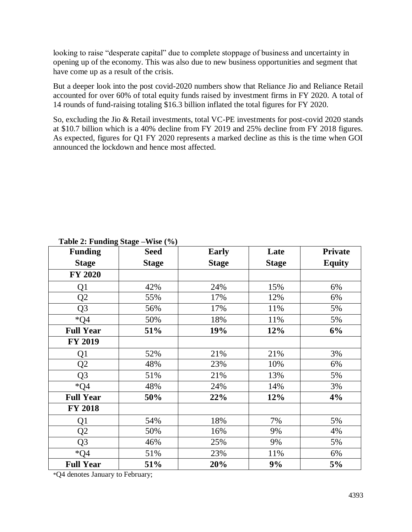looking to raise "desperate capital" due to complete stoppage of business and uncertainty in opening up of the economy. This was also due to new business opportunities and segment that have come up as a result of the crisis.

But a deeper look into the post covid-2020 numbers show that Reliance Jio and Reliance Retail accounted for over 60% of total equity funds raised by investment firms in FY 2020. A total of 14 rounds of fund-raising totaling \$16.3 billion inflated the total figures for FY 2020.

So, excluding the Jio & Retail investments, total VC-PE investments for post-covid 2020 stands at \$10.7 billion which is a 40% decline from FY 2019 and 25% decline from FY 2018 figures. As expected, figures for Q1 FY 2020 represents a marked decline as this is the time when GOI announced the lockdown and hence most affected.

| <b>Funding</b>   | <b>Seed</b>  | <b>Early</b> | Late         | <b>Private</b> |
|------------------|--------------|--------------|--------------|----------------|
| <b>Stage</b>     | <b>Stage</b> | <b>Stage</b> | <b>Stage</b> | <b>Equity</b>  |
| <b>FY 2020</b>   |              |              |              |                |
| Q1               | 42%          | 24%          | 15%          | 6%             |
| Q <sub>2</sub>   | 55%          | 17%          | 12%          | 6%             |
| Q <sub>3</sub>   | 56%          | 17%          | 11%          | 5%             |
| $*Q4$            | 50%          | 18%          | 11%          | 5%             |
| <b>Full Year</b> | 51%          | 19%          | 12%          | 6%             |
| <b>FY 2019</b>   |              |              |              |                |
| Q1               | 52%          | 21%          | 21%          | 3%             |
| Q2               | 48%          | 23%          | 10%          | 6%             |
| Q <sub>3</sub>   | 51%          | 21%          | 13%          | 5%             |
| $*Q4$            | 48%          | 24%          | 14%          | 3%             |
| <b>Full Year</b> | 50%          | 22%          | 12%          | 4%             |
| <b>FY 2018</b>   |              |              |              |                |
| Q1               | 54%          | 18%          | 7%           | 5%             |
| Q <sub>2</sub>   | 50%          | 16%          | 9%           | 4%             |
| Q <sub>3</sub>   | 46%          | 25%          | 9%           | 5%             |
| $*$ O4           | 51%          | 23%          | 11%          | 6%             |
| <b>Full Year</b> | 51%          | 20%          | 9%           | 5%             |

#### **Table 2: Funding Stage –Wise (%)**

\*Q4 denotes January to February;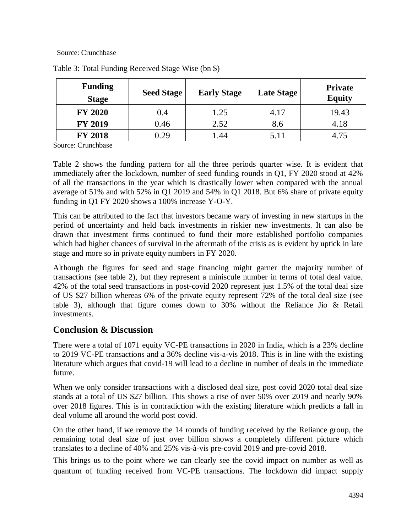#### Source: Crunchbase

| <b>Funding</b><br><b>Stage</b> | <b>Seed Stage</b> | <b>Early Stage</b> | <b>Late Stage</b> | <b>Private</b><br><b>Equity</b> |
|--------------------------------|-------------------|--------------------|-------------------|---------------------------------|
| <b>FY 2020</b>                 | 0.4               | 1.25               | 4.17              | 19.43                           |
| <b>FY 2019</b>                 | 0.46              | 2.52               | 8.6               | 4.18                            |
| <b>FY 2018</b>                 | 0.29              | .44                | 5.11              | 4.75                            |

Table 3: Total Funding Received Stage Wise (bn \$)

Source: Crunchbase

Table 2 shows the funding pattern for all the three periods quarter wise. It is evident that immediately after the lockdown, number of seed funding rounds in Q1, FY 2020 stood at 42% of all the transactions in the year which is drastically lower when compared with the annual average of 51% and with 52% in Q1 2019 and 54% in Q1 2018. But 6% share of private equity funding in Q1 FY 2020 shows a 100% increase Y-O-Y.

This can be attributed to the fact that investors became wary of investing in new startups in the period of uncertainty and held back investments in riskier new investments. It can also be drawn that investment firms continued to fund their more established portfolio companies which had higher chances of survival in the aftermath of the crisis as is evident by uptick in late stage and more so in private equity numbers in FY 2020.

Although the figures for seed and stage financing might garner the majority number of transactions (see table 2), but they represent a miniscule number in terms of total deal value. 42% of the total seed transactions in post-covid 2020 represent just 1.5% of the total deal size of US \$27 billion whereas 6% of the private equity represent 72% of the total deal size (see table 3), although that figure comes down to 30% without the Reliance Jio & Retail investments.

## **Conclusion & Discussion**

There were a total of 1071 equity VC-PE transactions in 2020 in India, which is a 23% decline to 2019 VC-PE transactions and a 36% decline vis-a-vis 2018. This is in line with the existing literature which argues that covid-19 will lead to a decline in number of deals in the immediate future.

When we only consider transactions with a disclosed deal size, post covid 2020 total deal size stands at a total of US \$27 billion. This shows a rise of over 50% over 2019 and nearly 90% over 2018 figures. This is in contradiction with the existing literature which predicts a fall in deal volume all around the world post covid.

On the other hand, if we remove the 14 rounds of funding received by the Reliance group, the remaining total deal size of just over billion shows a completely different picture which translates to a decline of 40% and 25% vis-à-vis pre-covid 2019 and pre-covid 2018.

This brings us to the point where we can clearly see the covid impact on number as well as quantum of funding received from VC-PE transactions. The lockdown did impact supply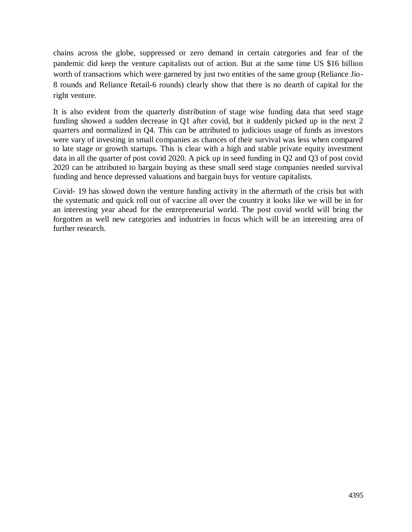chains across the globe, suppressed or zero demand in certain categories and fear of the pandemic did keep the venture capitalists out of action. But at the same time US \$16 billion worth of transactions which were garnered by just two entities of the same group (Reliance Jio-8 rounds and Reliance Retail-6 rounds) clearly show that there is no dearth of capital for the right venture.

It is also evident from the quarterly distribution of stage wise funding data that seed stage funding showed a sudden decrease in Q1 after covid, but it suddenly picked up in the next 2 quarters and normalized in Q4. This can be attributed to judicious usage of funds as investors were vary of investing in small companies as chances of their survival was less when compared to late stage or growth startups. This is clear with a high and stable private equity investment data in all the quarter of post covid 2020. A pick up in seed funding in Q2 and Q3 of post covid 2020 can be attributed to bargain buying as these small seed stage companies needed survival funding and hence depressed valuations and bargain buys for venture capitalists.

Covid- 19 has slowed down the venture funding activity in the aftermath of the crisis but with the systematic and quick roll out of vaccine all over the country it looks like we will be in for an interesting year ahead for the entrepreneurial world. The post covid world will bring the forgotten as well new categories and industries in focus which will be an interesting area of further research.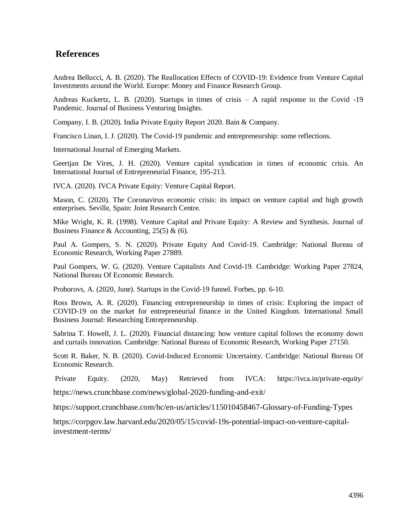### **References**

Andrea Bellucci, A. B. (2020). The Reallocation Effects of COVID-19: Evidence from Venture Capital Investments around the World. Europe: Money and Finance Research Group.

Andreas Kuckertz, L. B. (2020). Startups in times of crisis – A rapid response to the Covid -19 Pandemic. Journal of Business Venturing Insights.

Company, I. B. (2020). India Private Equity Report 2020. Bain & Company.

Francisco Linan, I. J. (2020). The Covid-19 pandemic and entrepreneurship: some reflections.

International Journal of Emerging Markets.

Geertjan De Vires, J. H. (2020). Venture capital syndication in times of economic crisis. An International Journal of Entrepreneurial Finance, 195-213.

IVCA. (2020). IVCA Private Equity: Venture Capital Report.

Mason, C. (2020). The Coronavirus economic crisis: its impact on venture capital and high growth enterprises. Seville, Spain: Joint Research Centre.

Mike Wright, K. R. (1998). Venture Capital and Private Equity: A Review and Synthesis. Journal of Business Finance & Accounting,  $25(5)$  & (6).

Paul A. Gompers, S. N. (2020). Private Equity And Covid-19. Cambridge: National Bureau of Economic Research, Working Paper 27889.

Paul Gompers, W. G. (2020). Venture Capitalists And Covid-19. Cambridge: Working Paper 27824, National Bureau Of Economic Research.

Prohorovs, A. (2020, June). Startups in the Covid-19 funnel. Forbes, pp. 6-10.

Ross Brown, A. R. (2020). Financing entrepreneurship in times of crisis: Exploring the impact of COVID-19 on the market for entrepreneurial finance in the United Kingdom. International Small Business Journal: Researching Entrepreneurship.

Sabrina T. Howell, J. L. (2020). Financial distancing: how venture capital follows the economy down and curtails innovation. Cambridge: National Bureau of Economic Research, Working Paper 27150.

Scott R. Baker, N. B. (2020). Covid-Induced Economic Uncertainty. Cambridge: National Bureau Of Economic Research.

Private Equity. (2020, May) Retrieved from IVCA: <https://ivca.in/private-equity/>

<https://news.crunchbase.com/news/global-2020-funding-and-exit/>

https://support.crunchbase.com/hc/en-us/articles/115010458467-Glossary-of-Funding-Types

[https://corpgov.law.harvard.edu/2020/05/15/covid-19s-potential-impact-on-venture-capital](https://corpgov.law.harvard.edu/2020/05/15/covid-19s-potential-impact-on-venture-capital-investment-terms/)[investment-terms/](https://corpgov.law.harvard.edu/2020/05/15/covid-19s-potential-impact-on-venture-capital-investment-terms/)